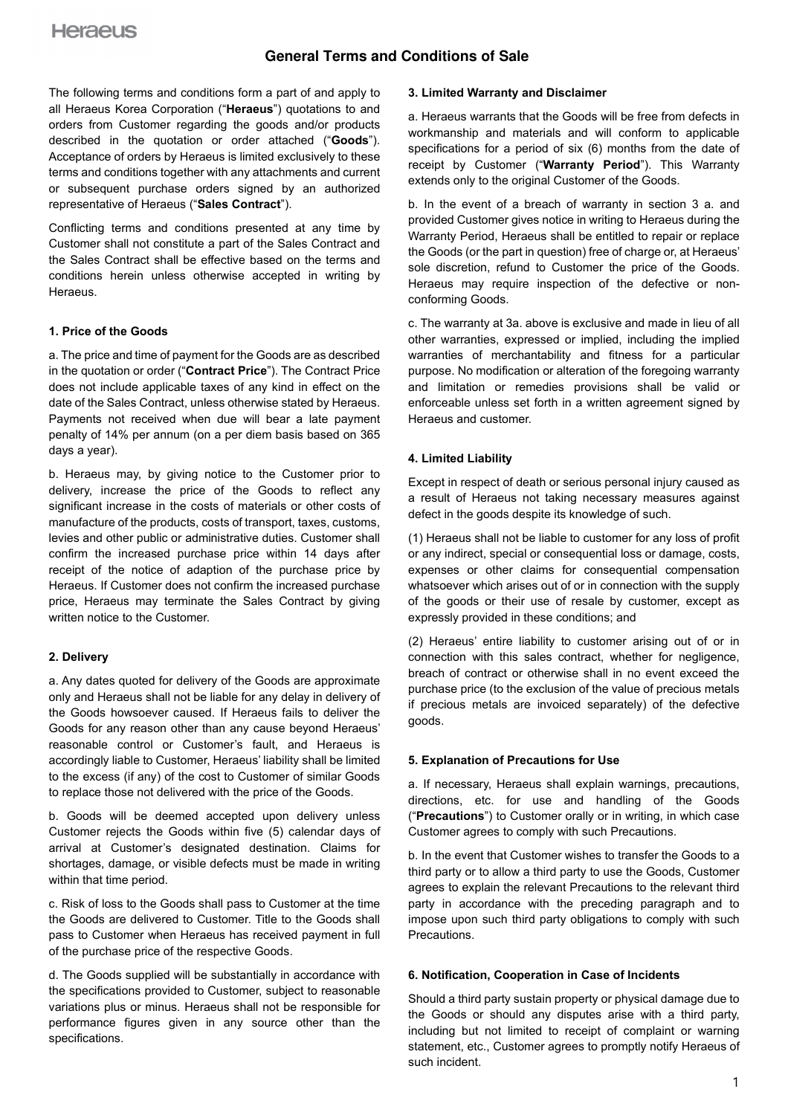The following terms and conditions form a part of and apply to all Heraeus Korea Corporation ("**Heraeus**") quotations to and orders from Customer regarding the goods and/or products described in the quotation or order attached ("**Goods**"). Acceptance of orders by Heraeus is limited exclusively to these terms and conditions together with any attachments and current or subsequent purchase orders signed by an authorized representative of Heraeus ("**Sales Contract**").

Conflicting terms and conditions presented at any time by Customer shall not constitute a part of the Sales Contract and the Sales Contract shall be effective based on the terms and conditions herein unless otherwise accepted in writing by Heraeus.

### **1. Price of the Goods**

a. The price and time of payment for the Goods are as described in the quotation or order ("**Contract Price**"). The Contract Price does not include applicable taxes of any kind in effect on the date of the Sales Contract, unless otherwise stated by Heraeus. Payments not received when due will bear a late payment penalty of 14% per annum (on a per diem basis based on 365 days a year).

b. Heraeus may, by giving notice to the Customer prior to delivery, increase the price of the Goods to reflect any significant increase in the costs of materials or other costs of manufacture of the products, costs of transport, taxes, customs, levies and other public or administrative duties. Customer shall confirm the increased purchase price within 14 days after receipt of the notice of adaption of the purchase price by Heraeus. If Customer does not confirm the increased purchase price, Heraeus may terminate the Sales Contract by giving written notice to the Customer.

### **2. Delivery**

a. Any dates quoted for delivery of the Goods are approximate only and Heraeus shall not be liable for any delay in delivery of the Goods howsoever caused. If Heraeus fails to deliver the Goods for any reason other than any cause beyond Heraeus' reasonable control or Customer's fault, and Heraeus is accordingly liable to Customer, Heraeus' liability shall be limited to the excess (if any) of the cost to Customer of similar Goods to replace those not delivered with the price of the Goods.

b. Goods will be deemed accepted upon delivery unless Customer rejects the Goods within five (5) calendar days of arrival at Customer's designated destination. Claims for shortages, damage, or visible defects must be made in writing within that time period.

c. Risk of loss to the Goods shall pass to Customer at the time the Goods are delivered to Customer. Title to the Goods shall pass to Customer when Heraeus has received payment in full of the purchase price of the respective Goods.

d. The Goods supplied will be substantially in accordance with the specifications provided to Customer, subject to reasonable variations plus or minus. Heraeus shall not be responsible for performance figures given in any source other than the specifications.

#### **3. Limited Warranty and Disclaimer**

a. Heraeus warrants that the Goods will be free from defects in workmanship and materials and will conform to applicable specifications for a period of six (6) months from the date of receipt by Customer ("**Warranty Period**"). This Warranty extends only to the original Customer of the Goods.

b. In the event of a breach of warranty in section 3 a. and provided Customer gives notice in writing to Heraeus during the Warranty Period, Heraeus shall be entitled to repair or replace the Goods (or the part in question) free of charge or, at Heraeus' sole discretion, refund to Customer the price of the Goods. Heraeus may require inspection of the defective or nonconforming Goods.

c. The warranty at 3a. above is exclusive and made in lieu of all other warranties, expressed or implied, including the implied warranties of merchantability and fitness for a particular purpose. No modification or alteration of the foregoing warranty and limitation or remedies provisions shall be valid or enforceable unless set forth in a written agreement signed by Heraeus and customer.

### **4. Limited Liability**

Except in respect of death or serious personal injury caused as a result of Heraeus not taking necessary measures against defect in the goods despite its knowledge of such.

(1) Heraeus shall not be liable to customer for any loss of profit or any indirect, special or consequential loss or damage, costs, expenses or other claims for consequential compensation whatsoever which arises out of or in connection with the supply of the goods or their use of resale by customer, except as expressly provided in these conditions; and

(2) Heraeus' entire liability to customer arising out of or in connection with this sales contract, whether for negligence, breach of contract or otherwise shall in no event exceed the purchase price (to the exclusion of the value of precious metals if precious metals are invoiced separately) of the defective goods.

### **5. Explanation of Precautions for Use**

a. If necessary, Heraeus shall explain warnings, precautions, directions, etc. for use and handling of the Goods ("**Precautions**") to Customer orally or in writing, in which case Customer agrees to comply with such Precautions.

b. In the event that Customer wishes to transfer the Goods to a third party or to allow a third party to use the Goods, Customer agrees to explain the relevant Precautions to the relevant third party in accordance with the preceding paragraph and to impose upon such third party obligations to comply with such Precautions.

### **6. Notification, Cooperation in Case of Incidents**

Should a third party sustain property or physical damage due to the Goods or should any disputes arise with a third party, including but not limited to receipt of complaint or warning statement, etc., Customer agrees to promptly notify Heraeus of such incident.